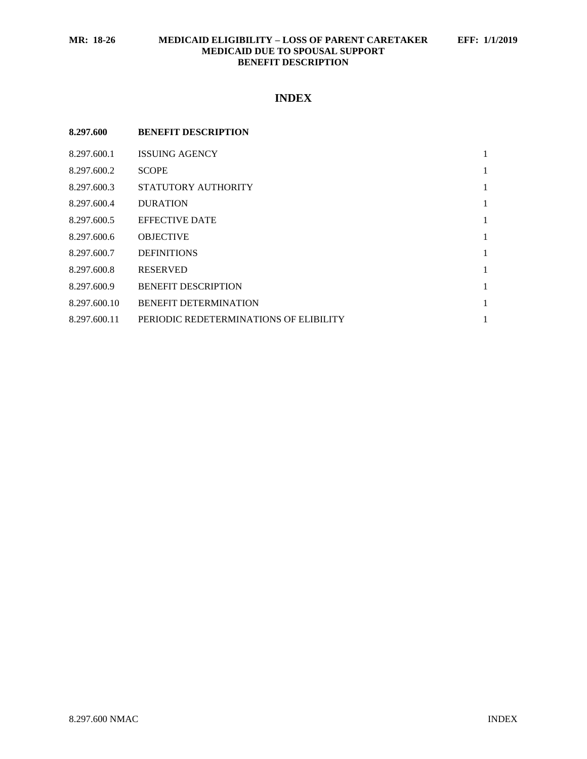# **INDEX**

| 8.297.600    | <b>BENEFIT DESCRIPTION</b>             |   |
|--------------|----------------------------------------|---|
| 8.297.600.1  | <b>ISSUING AGENCY</b>                  | 1 |
| 8.297.600.2  | <b>SCOPE</b>                           | 1 |
| 8.297.600.3  | STATUTORY AUTHORITY                    | 1 |
| 8.297.600.4  | <b>DURATION</b>                        | 1 |
| 8.297.600.5  | <b>EFFECTIVE DATE</b>                  | 1 |
| 8.297.600.6  | <b>OBJECTIVE</b>                       | 1 |
| 8.297.600.7  | <b>DEFINITIONS</b>                     | 1 |
| 8.297.600.8  | <b>RESERVED</b>                        | 1 |
| 8.297.600.9  | <b>BENEFIT DESCRIPTION</b>             | 1 |
| 8.297.600.10 | <b>BENEFIT DETERMINATION</b>           | 1 |
| 8.297.600.11 | PERIODIC REDETERMINATIONS OF ELIBILITY | 1 |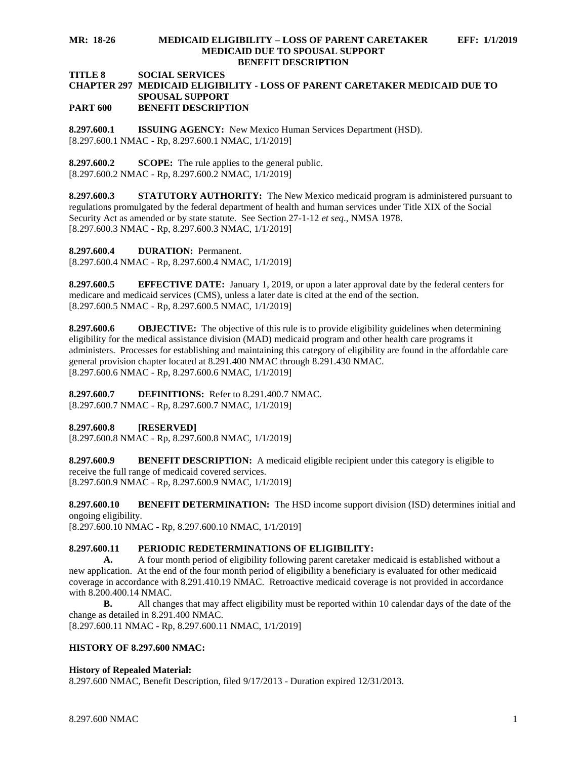#### **MR: 18-26 MEDICAID ELIGIBILITY – LOSS OF PARENT CARETAKER EFF: 1/1/2019 MEDICAID DUE TO SPOUSAL SUPPORT BENEFIT DESCRIPTION**

### **TITLE 8 SOCIAL SERVICES**

#### **CHAPTER 297 MEDICAID ELIGIBILITY - LOSS OF PARENT CARETAKER MEDICAID DUE TO SPOUSAL SUPPORT PART 600 BENEFIT DESCRIPTION**

<span id="page-1-0"></span>**8.297.600.1 ISSUING AGENCY:** New Mexico Human Services Department (HSD). [8.297.600.1 NMAC - Rp, 8.297.600.1 NMAC, 1/1/2019]

<span id="page-1-1"></span>**8.297.600.2 SCOPE:** The rule applies to the general public. [8.297.600.2 NMAC - Rp, 8.297.600.2 NMAC, 1/1/2019]

<span id="page-1-2"></span>**8.297.600.3 STATUTORY AUTHORITY:** The New Mexico medicaid program is administered pursuant to regulations promulgated by the federal department of health and human services under Title XIX of the Social Security Act as amended or by state statute. See Section 27-1-12 *et seq*., NMSA 1978. [8.297.600.3 NMAC - Rp, 8.297.600.3 NMAC, 1/1/2019]

<span id="page-1-3"></span>**8.297.600.4 DURATION:** Permanent.

[8.297.600.4 NMAC - Rp, 8.297.600.4 NMAC, 1/1/2019]

<span id="page-1-4"></span>**8.297.600.5 EFFECTIVE DATE:** January 1, 2019, or upon a later approval date by the federal centers for medicare and medicaid services (CMS), unless a later date is cited at the end of the section. [8.297.600.5 NMAC - Rp, 8.297.600.5 NMAC, 1/1/2019]

<span id="page-1-5"></span>**8.297.600.6 OBJECTIVE:** The objective of this rule is to provide eligibility guidelines when determining eligibility for the medical assistance division (MAD) medicaid program and other health care programs it administers. Processes for establishing and maintaining this category of eligibility are found in the affordable care general provision chapter located at 8.291.400 NMAC through 8.291.430 NMAC. [8.297.600.6 NMAC - Rp, 8.297.600.6 NMAC, 1/1/2019]

<span id="page-1-6"></span>**8.297.600.7 DEFINITIONS:** Refer to 8.291.400.7 NMAC. [8.297.600.7 NMAC - Rp, 8.297.600.7 NMAC, 1/1/2019]

<span id="page-1-7"></span>**8.297.600.8 [RESERVED]**

[8.297.600.8 NMAC - Rp, 8.297.600.8 NMAC, 1/1/2019]

<span id="page-1-8"></span>**8.297.600.9 BENEFIT DESCRIPTION:** A medicaid eligible recipient under this category is eligible to receive the full range of medicaid covered services. [8.297.600.9 NMAC - Rp, 8.297.600.9 NMAC, 1/1/2019]

<span id="page-1-9"></span>**8.297.600.10 BENEFIT DETERMINATION:** The HSD income support division (ISD) determines initial and ongoing eligibility.

[8.297.600.10 NMAC - Rp, 8.297.600.10 NMAC, 1/1/2019]

## <span id="page-1-10"></span>**8.297.600.11 PERIODIC REDETERMINATIONS OF ELIGIBILITY:**

**A.** A four month period of eligibility following parent caretaker medicaid is established without a new application. At the end of the four month period of eligibility a beneficiary is evaluated for other medicaid coverage in accordance with 8.291.410.19 NMAC. Retroactive medicaid coverage is not provided in accordance with 8.200.400.14 NMAC.

**B.** All changes that may affect eligibility must be reported within 10 calendar days of the date of the change as detailed in 8.291.400 NMAC.

[8.297.600.11 NMAC - Rp, 8.297.600.11 NMAC, 1/1/2019]

## **HISTORY OF 8.297.600 NMAC:**

## **History of Repealed Material:**

8.297.600 NMAC, Benefit Description, filed 9/17/2013 - Duration expired 12/31/2013.